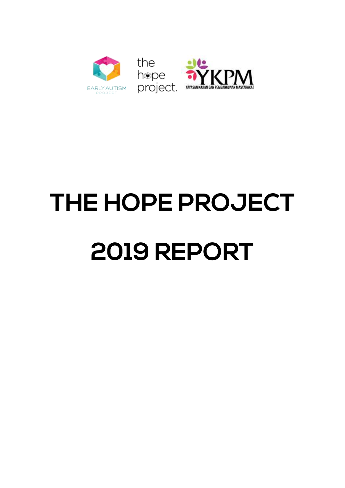

# **THE HOPE PROJECT 2019 REPORT**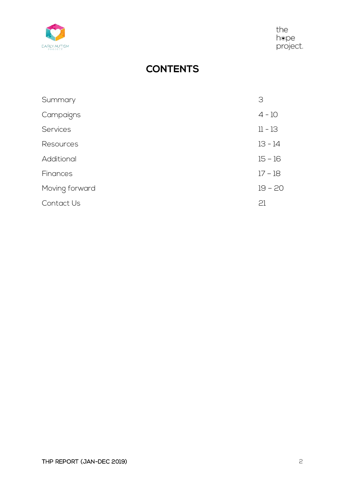

the the<br>hope<br>project.

## **CONTENTS**

| Summary         | З         |
|-----------------|-----------|
| Campaigns       | $4 - 10$  |
| <b>Services</b> | 11 - 13   |
| Resources       | $13 - 14$ |
| Additional      | $15 - 16$ |
| Finances        | 17 - 18   |
| Moving forward  | $19 - 20$ |
| Contact Us      | 21        |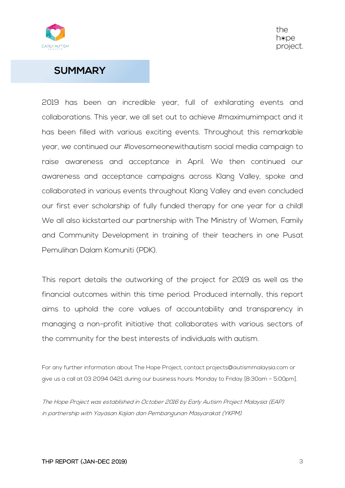

#### **SUMMARY**

2019 has been an incredible year, full of exhilarating events and collaborations. This year, we all set out to achieve #maximumimpact and it has been filled with various exciting events. Throughout this remarkable year, we continued our #lovesomeonewithautism social media campaign to raise awareness and acceptance in April. We then continued our awareness and acceptance campaigns across Klang Valley, spoke and collaborated in various events throughout Klang Valley and even concluded our first ever scholarship of fully funded therapy for one year for a child! We all also kickstarted our partnership with The Ministry of Women, Family and Community Development in training of their teachers in one Pusat Pemulihan Dalam Komuniti (PDK).

This report details the outworking of the project for 2019 as well as the financial outcomes within this time period. Produced internally, this report aims to uphold the core values of accountability and transparency in managing a non-profit initiative that collaborates with various sectors of the community for the best interests of individuals with autism.

For any further information about The Hope Project, contact projects@autismmalaysia.com or give us a call at 03 2094 0421 during our business hours: Monday to Friday [8:30am – 5:00pm].

The Hope Project was established in October 2016 by Early Autism Project Malaysia (EAP) in partnership with Yayasan Kajian dan Pembangunan Masyarakat (YKPM).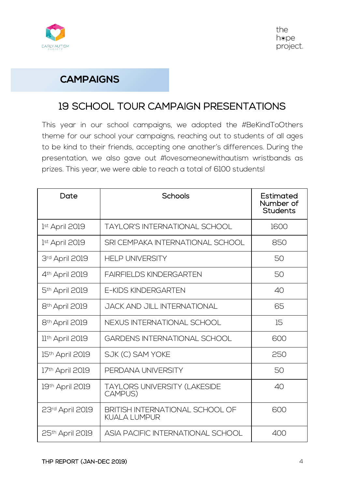

#### **CAMPAIGNS**

## 19 SCHOOL TOUR CAMPAIGN PRESENTATIONS

This year in our school campaigns, we adopted the #BeKindToOthers theme for our school your campaigns, reaching out to students of all ages to be kind to their friends, accepting one another's differences. During the presentation, we also gave out #lovesomeonewithautism wristbands as prizes. This year, we were able to reach a total of 6100 students!

| Date                       | Schools                                         | Estimated<br>Number of<br>Students |
|----------------------------|-------------------------------------------------|------------------------------------|
| 1st April 2019             | TAYLOR'S INTERNATIONAL SCHOOL                   | 1600                               |
| 1st April 2019             | SRI CEMPAKA INTERNATIONAL SCHOOL                | 850                                |
| 3rd April 2019             | <b>HELP UNIVERSITY</b>                          | 50                                 |
| 4 <sup>th</sup> April 2019 | <b>FAIRFIELDS KINDERGARTEN</b>                  | 50                                 |
| 5 <sup>th</sup> April 2019 | <b>E-KIDS KINDERGARTEN</b>                      | 40                                 |
| 8 <sup>th</sup> April 2019 | JACK AND JILL INTERNATIONAL                     | 65                                 |
| 8 <sup>th</sup> April 2019 | NEXUS INTERNATIONAL SCHOOL                      | 15                                 |
| 11th April 2019            | <b>GARDENS INTERNATIONAL SCHOOL</b>             | 600                                |
| 15th April 2019            | SJK (C) SAM YOKE                                | 250                                |
| 17th April 2019            | PFRDANA UNIVERSITY                              | 50                                 |
| 19th April 2019            | TAYLORS UNIVERSITY (LAKESIDE<br>CAMPUS)         | 40                                 |
| 23rd April 2019            | BRITISH INTERNATIONAL SCHOOL OF<br>KUALA LUMPUR | 600                                |
| 25th April 2019            | ASIA PACIFIC INTERNATIONAL SCHOOL               | 400                                |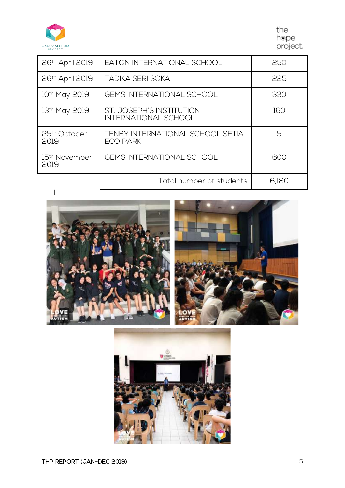

the hepe<br>project.

| 26 <sup>th</sup> April 2019                                    | EATON INTERNATIONAL SCHOOL                              | 250   |
|----------------------------------------------------------------|---------------------------------------------------------|-------|
| 26th April 2019                                                | TADIKA SERI SOKA                                        | 225   |
| 10th May 2019                                                  | <b>GEMS INTERNATIONAL SCHOOL</b>                        | 330   |
| 13th May 2019                                                  | ST. JOSEPH'S INSTITUTION<br><b>INTERNATIONAL SCHOOL</b> | 160   |
| 25 <sup>th</sup> October<br>2019                               | TENBY INTERNATIONAL SCHOOL SETIA<br>ECO PARK            | 5     |
| GEMS INTERNATIONAL SCHOOL<br>15 <sup>th</sup> November<br>2019 |                                                         | 600   |
|                                                                | Total number of students                                | 6,180 |
|                                                                |                                                         |       |



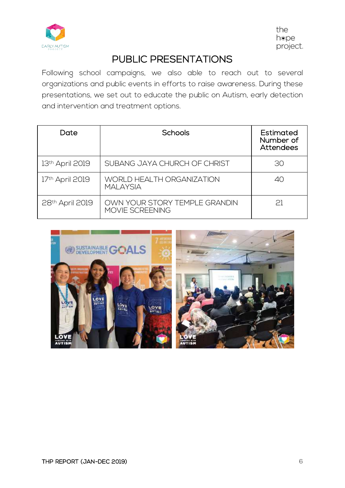

## PUBLIC PRESENTATIONS

Following school campaigns, we also able to reach out to several organizations and public events in efforts to raise awareness. During these presentations, we set out to educate the public on Autism, early detection and intervention and treatment options.

| Date                        | Schools                                          | Estimated<br>Number of<br>Attendees |
|-----------------------------|--------------------------------------------------|-------------------------------------|
| 13th April 2019             | SUBANG JAYA CHURCH OF CHRIST                     | 30                                  |
| 17th April 2019             | WORLD HEALTH ORGANIZATION<br>MAI AYSIA           | 40                                  |
| 28 <sup>th</sup> April 2019 | OWN YOUR STORY TEMPLE GRANDIN<br>MOVIE SCREENING | 21                                  |

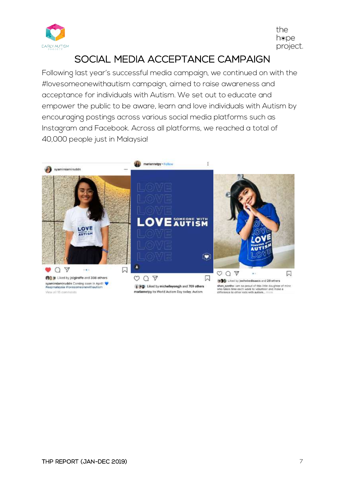

## SOCIAL MEDIA ACCEPTANCE CAMPAIGN

Following last year's successful media campaign, we continued on with the #lovesomeonewithautism campaign, aimed to raise awareness and acceptance for individuals with Autism. We set out to educate and empower the public to be aware, learn and love individuals with Autism by encouraging postings across various social media platforms such as Instagram and Facebook. Across all platforms, we reached a total of 40,000 people just in Malaysia!

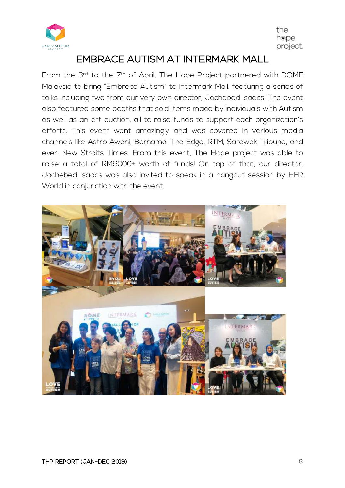

## EMBRACE AUTISM AT INTERMARK MALL

From the 3rd to the 7th of April, The Hope Project partnered with DOME Malaysia to bring "Embrace Autism" to Intermark Mall, featuring a series of talks including two from our very own director, Jochebed Isaacs! The event also featured some booths that sold items made by individuals with Autism as well as an art auction, all to raise funds to support each organization's efforts. This event went amazingly and was covered in various media channels like Astro Awani, Bernama, The Edge, RTM, Sarawak Tribune, and even New Straits Times. From this event, The Hope project was able to raise a total of RM9000+ worth of funds! On top of that, our director, Jochebed Isaacs was also invited to speak in a hangout session by HER World in conjunction with the event.

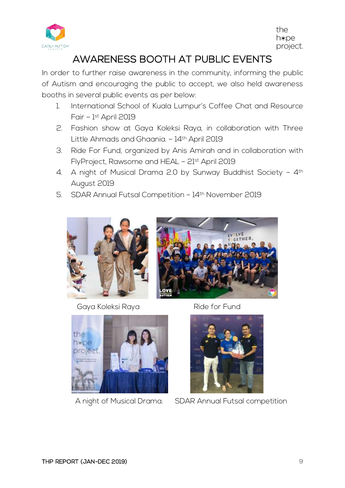

## AWARENESS BOOTH AT PUBLIC EVENTS

In order to further raise awareness in the community, informing the public of Autism and encouraging the public to accept, we also held awareness booths in several public events as per below:

- 1. International School of Kuala Lumpur's Coffee Chat and Resource Fair – 1st April 2019
- 2. Fashion show at Gaya Koleksi Raya, in collaboration with Three Little Ahmads and Ghaania. - 14th April 2019
- 3. Ride For Fund, organized by Anis Amirah and in collaboration with FlyProject, Rawsome and HEAL – 21st April 2019
- 4. A night of Musical Drama 2.0 by Sunway Buddhist Society 4th August 2019
- 5. SDAR Annual Futsal Competition 14th November 2019



Gaya Koleksi Raya **Ride for Fund** 







A night of Musical Drama. SDAR Annual Futsal competition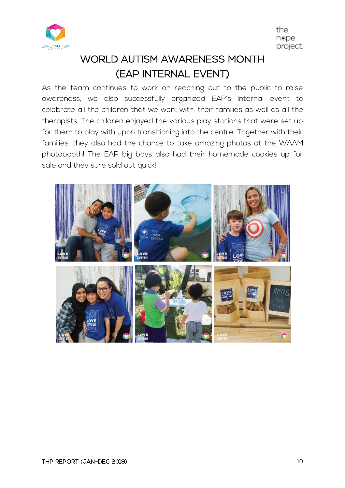

# WORLD AUTISM AWARENESS MONTH (EAP INTERNAL EVENT)

As the team continues to work on reaching out to the public to raise awareness, we also successfully organized EAP's Internal event to celebrate all the children that we work with, their families as well as all the therapists. The children enjoyed the various play stations that were set up for them to play with upon transitioning into the centre. Together with their families, they also had the chance to take amazing photos at the WAAM photobooth! The EAP big boys also had their homemade cookies up for sale and they sure sold out quick!

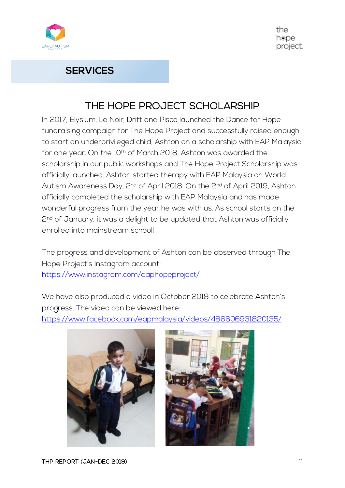

#### **SERVICES**

### THE HOPE PROJECT SCHOLARSHIP

In 2017, Elysium, Le Noir, Drift and Pisco launched the Dance for Hope fundraising campaign for The Hope Project and successfully raised enough to start an underprivileged child, Ashton on a scholarship with EAP Malaysia for one year. On the 10th of March 2018, Ashton was awarded the scholarship in our public workshops and The Hope Project Scholarship was officially launched. Ashton started therapy with EAP Malaysia on World Autism Awareness Day, 2nd of April 2018. On the 2nd of April 2019, Ashton officially completed the scholarship with EAP Malaysia and has made wonderful progress from the year he was with us. As school starts on the 2<sup>nd</sup> of January, it was a delight to be updated that Ashton was officially enrolled into mainstream school!

The progress and development of Ashton can be observed through The Hope Project's Instagram account: https://www.instagram.com/eaphopeproject/

We have also produced a video in October 2018 to celebrate Ashton's progress. The video can be viewed here:

https://www.facebook.com/eapmalaysia/videos/486606931820135/



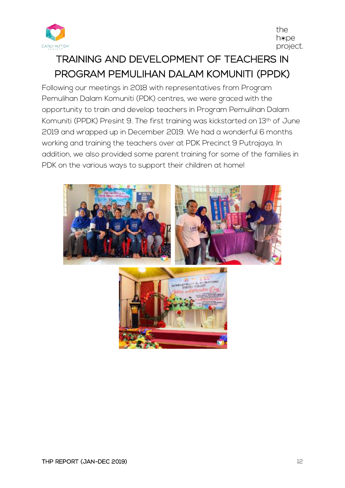

# TRAINING AND DEVELOPMENT OF TEACHERS IN PROGRAM PEMULIHAN DALAM KOMUNITI (PPDK)

Following our meetings in 2018 with representatives from Program Pemulihan Dalam Komuniti (PDK) centres, we were graced with the opportunity to train and develop teachers in Program Pemulihan Dalam Komuniti (PPDK) Presint 9. The first training was kickstarted on 13th of June 2019 and wrapped up in December 2019. We had a wonderful 6 months working and training the teachers over at PDK Precinct 9 Putrajaya. In addition, we also provided some parent training for some of the families in PDK on the various ways to support their children at home!

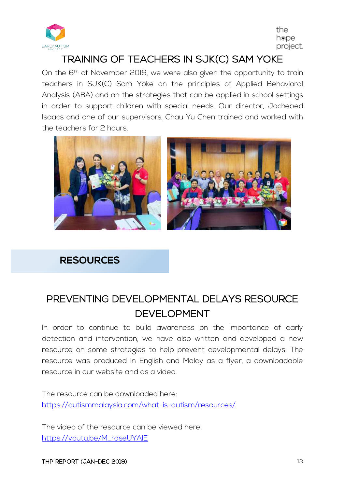

### TRAINING OF TEACHERS IN SJK(C) SAM YOKE

On the 6<sup>th</sup> of November 2019, we were also given the opportunity to train teachers in SJK(C) Sam Yoke on the principles of Applied Behavioral Analysis (ABA) and on the strategies that can be applied in school settings in order to support children with special needs. Our director, Jochebed Isaacs and one of our supervisors, Chau Yu Chen trained and worked with the teachers for 2 hours.



#### **RESOURCES**

## PREVENTING DEVELOPMENTAL DELAYS RESOURCE DEVELOPMENT

In order to continue to build awareness on the importance of early detection and intervention, we have also written and developed a new resource on some strategies to help prevent developmental delays. The resource was produced in English and Malay as a flyer, a downloadable resource in our website and as a video.

The resource can be downloaded here: https://autismmalaysia.com/what-is-autism/resources/

The video of the resource can be viewed here: https://youtu.be/M\_rdseUYAlE

THP REPORT (JAN-DEC 2019) 13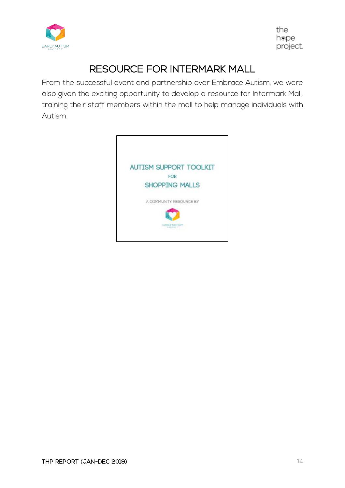

## RESOURCE FOR INTERMARK MALL

From the successful event and partnership over Embrace Autism, we were also given the exciting opportunity to develop a resource for Intermark Mall, training their staff members within the mall to help manage individuals with Autism.

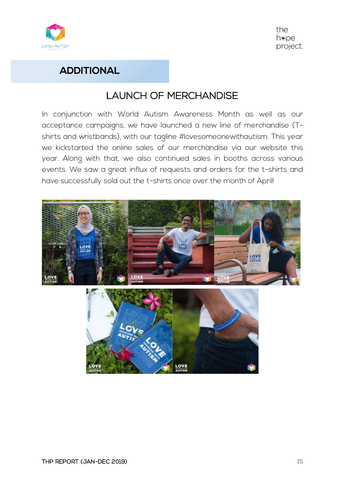

#### **ADDITIONAL**

### LAUNCH OF MERCHANDISE

In conjunction with World Autism Awareness Month as well as our acceptance campaigns, we have launched a new line of merchandise (Tshirts and wristbands), with our tagline #lovesomeonewithautism. This year we kickstarted the online sales of our merchandise via our website this year. Along with that, we also continued sales in booths across various events. We saw a great influx of requests and orders for the t-shirts and have successfully sold out the t-shirts once over the month of April!

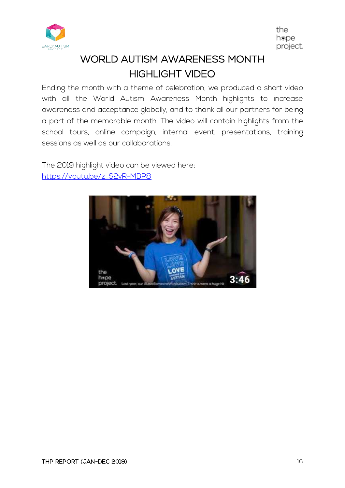

# WORLD AUTISM AWARENESS MONTH HIGHLIGHT VIDEO

Ending the month with a theme of celebration, we produced a short video with all the World Autism Awareness Month highlights to increase awareness and acceptance globally, and to thank all our partners for being a part of the memorable month. The video will contain highlights from the school tours, online campaign, internal event, presentations, training sessions as well as our collaborations.

The 2019 highlight video can be viewed here: https://youtu.be/z\_S2vR-MBP8

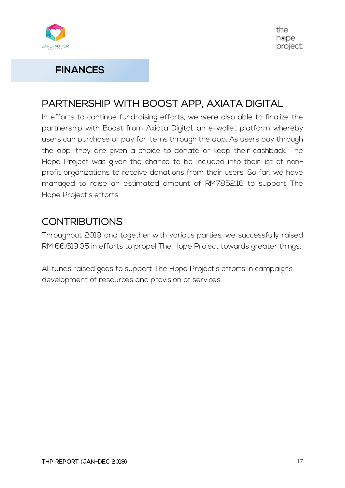

#### **FINANCES**

## PARTNERSHIP WITH BOOST APP, AXIATA DIGITAL

In efforts to continue fundraising efforts, we were also able to finalize the partnership with Boost from Axiata Digital, an e-wallet platform whereby users can purchase or pay for items through the app. As users pay through the app, they are given a choice to donate or keep their cashback. The Hope Project was given the chance to be included into their list of nonprofit organizations to receive donations from their users. So far, we have managed to raise an estimated amount of RM7852.16 to support The Hope Project's efforts.

## **CONTRIBUTIONS**

Throughout 2019 and together with various parties, we successfully raised RM 66,619.35 in efforts to propel The Hope Project towards greater things.

All funds raised goes to support The Hope Project's efforts in campaigns, development of resources and provision of services.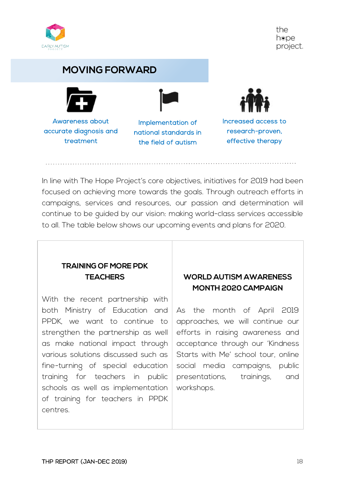

#### **MOVING FORWARD**



Awareness about accurate diagnosis and treatment

Implementation of national standards in the field of autism



Increased access to research-proven, effective therapy

In line with The Hope Project's core objectives, initiatives for 2019 had been focused on achieving more towards the goals. Through outreach efforts in campaigns, services and resources, our passion and determination will continue to be guided by our vision: making world-class services accessible to all. The table below shows our upcoming events and plans for 2020.

#### **TRAINING OF MORE PDK TEACHERS**

With the recent partnership with both Ministry of Education and PPDK, we want to continue to strengthen the partnership as well as make national impact through various solutions discussed such as fine-turning of special education training for teachers in public schools as well as implementation of training for teachers in PPDK centres.

#### **WORLD AUTISM AWARENESS MONTH 2020 CAMPAIGN**

As the month of April 2019 approaches, we will continue our efforts in raising awareness and acceptance through our 'Kindness Starts with Me' school tour, online social media campaigns, public presentations, trainings, and workshops.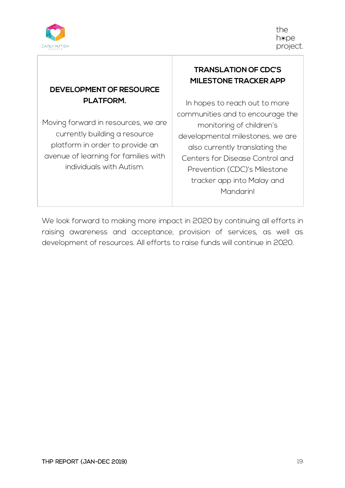

#### **DEVELOPMENT OF RESOURCE PLATFORM.**

Moving forward in resources, we are currently building a resource platform in order to provide an avenue of learning for families with individuals with Autism.

#### **TRANSLATION OF CDC'S MILESTONE TRACKER APP**

In hopes to reach out to more communities and to encourage the monitoring of children's developmental milestones, we are also currently translating the Centers for Disease Control and Prevention (CDC)'s Milestone tracker app into Malay and Mandarin!

We look forward to making more impact in 2020 by continuing all efforts in raising awareness and acceptance, provision of services, as well as development of resources. All efforts to raise funds will continue in 2020.